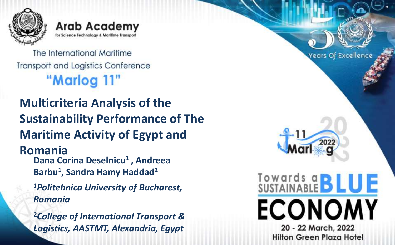

**Arab Academy** for Science Technology & Maritin

The International Maritime **Transport and Logistics Conference** "Marlog 11"

**Multicriteria Analysis of the Sustainability Performance of The Maritime Activity of Egypt and Romania Dana Corina Deselnicu<sup>1</sup> , Andreea Barbu<sup>1</sup> , Sandra Hamy Haddad<sup>2</sup>**

*<sup>1</sup>Politehnica University of Bucharest, Romania*

**<sup>2</sup>***College of International Transport & Logistics, AASTMT, Alexandria, Egypt* 

Years Of Excellence Towards a **BLUE ECONOMY** 20 - 22 March, 2022 **Hilton Green Plaza Hotel**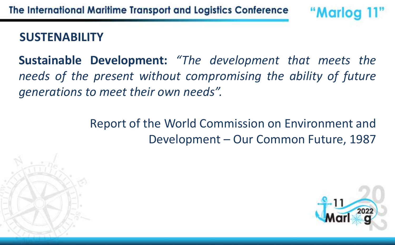### **SUSTENABILITY**

**Sustainable Development:** *"The development that meets the needs of the present without compromising the ability of future generations to meet their own needs".*

> Report of the World Commission on Environment and Development – Our Common Future, 1987



"Marlog 11"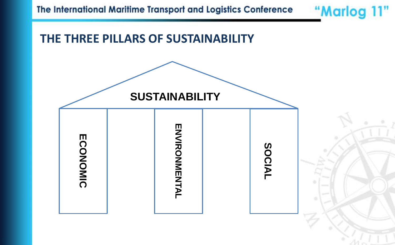

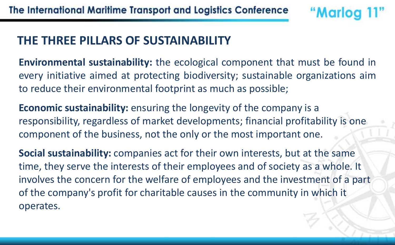#### **THE THREE PILLARS OF SUSTAINABILITY**

**Environmental sustainability:** the ecological component that must be found in every initiative aimed at protecting biodiversity; sustainable organizations aim to reduce their environmental footprint as much as possible;

"Marlog

**Economic sustainability:** ensuring the longevity of the company is a responsibility, regardless of market developments; financial profitability is one component of the business, not the only or the most important one.

**Social sustainability:** companies act for their own interests, but at the same time, they serve the interests of their employees and of society as a whole. It involves the concern for the welfare of employees and the investment of a part of the company's profit for charitable causes in the community in which it operates.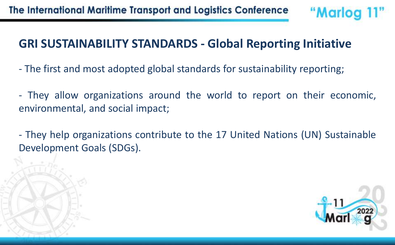#### **GRI SUSTAINABILITY STANDARDS - Global Reporting Initiative**

- The first and most adopted global standards for sustainability reporting;
- They allow organizations around the world to report on their economic, environmental, and social impact;
- They help organizations contribute to the 17 United Nations (UN) Sustainable Development Goals (SDGs).

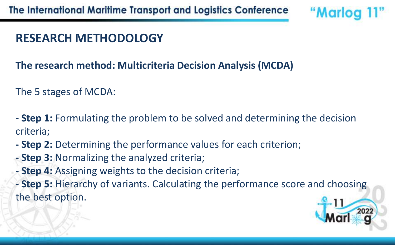## **RESEARCH METHODOLOGY**

#### **The research method: Multicriteria Decision Analysis (MCDA)**

The 5 stages of MCDA:

**- Step 1:** Formulating the problem to be solved and determining the decision criteria;

- **- Step 2:** Determining the performance values for each criterion;
- **- Step 3:** Normalizing the analyzed criteria;
- **- Step 4:** Assigning weights to the decision criteria;
- **- Step 5:** Hierarchy of variants. Calculating the performance score and choosing the best option.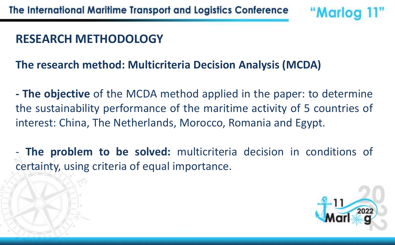#### **RESEARCH METHODOLOGY**

#### **The research method: Multicriteria Decision Analysis (MCDA)**

**- The objective** of the MCDA method applied in the paper: to determine the sustainability performance of the maritime activity of 5 countries of interest: China, The Netherlands, Morocco, Romania and Egypt.

- **The problem to be solved:** multicriteria decision in conditions of certainty, using criteria of equal importance.



"Marloc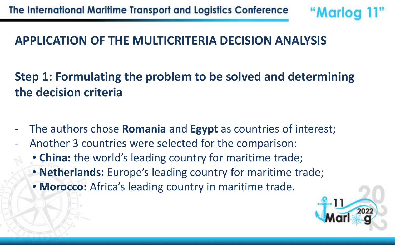## **APPLICATION OF THE MULTICRITERIA DECISION ANALYSIS**

**Step 1: Formulating the problem to be solved and determining the decision criteria**

- The authors chose **Romania** and **Egypt** as countries of interest;
- Another 3 countries were selected for the comparison:
	- **China:** the world's leading country for maritime trade;
	- **Netherlands:** Europe's leading country for maritime trade;
	- **Morocco:** Africa's leading country in maritime trade.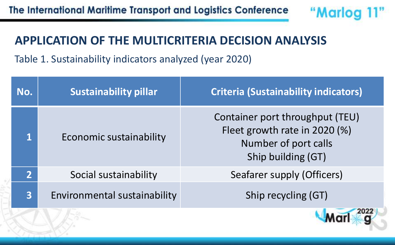#### **APPLICATION OF THE MULTICRITERIA DECISION ANALYSIS**

Table 1. Sustainability indicators analyzed (year 2020)

| No.                     | <b>Sustainability pillar</b> | <b>Criteria (Sustainability indicators)</b>                                                                    |
|-------------------------|------------------------------|----------------------------------------------------------------------------------------------------------------|
|                         | Economic sustainability      | Container port throughput (TEU)<br>Fleet growth rate in 2020 (%)<br>Number of port calls<br>Ship building (GT) |
| $\overline{2}$          | Social sustainability        | Seafarer supply (Officers)                                                                                     |
| $\overline{\mathbf{3}}$ | Environmental sustainability | Ship recycling (GT)                                                                                            |
|                         |                              |                                                                                                                |



"Marlog 11"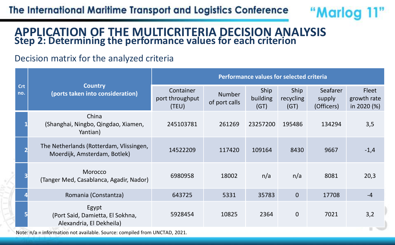

#### **APPLICATION OF THE MULTICRITERIA DECISION ANALYSIS Step 2: Determining the performance values for each criterion**

#### Decision matrix for the analyzed criteria

|                                                                            |                                                                         | Performance values for selected criteria |                                |                          |                           |                                  |                                     |  |
|----------------------------------------------------------------------------|-------------------------------------------------------------------------|------------------------------------------|--------------------------------|--------------------------|---------------------------|----------------------------------|-------------------------------------|--|
| Crt<br>no.                                                                 | <b>Country</b><br>(ports taken into consideration)                      | Container<br>port throughput<br>(TEU)    | <b>Number</b><br>of port calls | Ship<br>building<br>(GT) | Ship<br>recycling<br>(GT) | Seafarer<br>supply<br>(Officers) | Fleet<br>growth rate<br>in 2020 (%) |  |
|                                                                            | China<br>(Shanghai, Ningbo, Qingdao, Xiamen,<br>Yantian)                | 245103781                                | 261269                         | 23257200                 | 195486                    | 134294                           | 3,5                                 |  |
|                                                                            | The Netherlands (Rotterdam, Vlissingen,<br>Moerdijk, Amsterdam, Botlek) | 14522209                                 | 117420                         | 109164                   | 8430                      | 9667                             | $-1,4$                              |  |
|                                                                            | Morocco<br>(Tanger Med, Casablanca, Agadir, Nador)                      | 6980958                                  | 18002                          | n/a                      | n/a                       | 8081                             | 20,3                                |  |
|                                                                            | Romania (Constantza)                                                    | 643725                                   | 5331                           | 35783                    | $\overline{0}$            | 17708                            | $-4$                                |  |
|                                                                            | Egypt<br>(Port Said, Damietta, El Sokhna,<br>Alexandria, El Dekheila)   | 5928454                                  | 10825                          | 2364                     | $\mathbf 0$               | 7021                             | 3,2                                 |  |
| Note: n/a = information not available. Source: compiled from UNCTAD, 2021. |                                                                         |                                          |                                |                          |                           |                                  |                                     |  |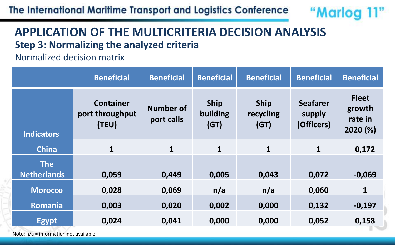The International Maritime Transport and Logistics Conference



#### **APPLICATION OF THE MULTICRITERIA DECISION ANALYSIS Step 3: Normalizing the analyzed criteria**

Normalized decision matrix

|                    | <b>Beneficial</b>                            | <b>Beneficial</b>              | <b>Beneficial</b>               | <b>Beneficial</b>                | <b>Beneficial</b>                       | <b>Beneficial</b>                             |
|--------------------|----------------------------------------------|--------------------------------|---------------------------------|----------------------------------|-----------------------------------------|-----------------------------------------------|
| <b>Indicators</b>  | <b>Container</b><br>port throughput<br>(TEU) | <b>Number of</b><br>port calls | <b>Ship</b><br>building<br>(GT) | <b>Ship</b><br>recycling<br>(GT) | <b>Seafarer</b><br>supply<br>(Officers) | <b>Fleet</b><br>growth<br>rate in<br>2020 (%) |
| <b>China</b>       | $\mathbf{1}$                                 | $\mathbf{1}$                   | $\mathbf{1}$                    | $\mathbf{1}$                     | $\mathbf{1}$                            | 0,172                                         |
| <b>The</b>         |                                              |                                |                                 |                                  |                                         |                                               |
| <b>Netherlands</b> | 0,059                                        | 0,449                          | 0,005                           | 0,043                            | 0,072                                   | $-0,069$                                      |
| <b>Morocco</b>     | 0,028                                        | 0,069                          | n/a                             | n/a                              | 0,060                                   | $\mathbf{1}$                                  |
| Romania            | 0,003                                        | 0,020                          | 0,002                           | 0,000                            | 0,132                                   | $-0,197$                                      |
| <b>Egypt</b>       | 0,024                                        | 0,041                          | 0,000                           | 0,000                            | 0,052                                   | 0,158                                         |

Note: n/a = information not available.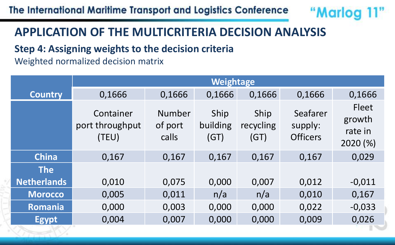# "Marlog 11"

## **APPLICATION OF THE MULTICRITERIA DECISION ANALYSIS**

#### **Step 4: Assigning weights to the decision criteria**

Weighted normalized decision matrix

|                    | <b>Weightage</b>                      |                            |                          |                           |                                        |                                               |  |  |  |
|--------------------|---------------------------------------|----------------------------|--------------------------|---------------------------|----------------------------------------|-----------------------------------------------|--|--|--|
| <b>Country</b>     | 0,1666                                | 0,1666                     | 0,1666                   | 0,1666                    | 0,1666                                 | 0,1666                                        |  |  |  |
|                    | Container<br>port throughput<br>(TEU) | Number<br>of port<br>calls | Ship<br>building<br>(GT) | Ship<br>recycling<br>(GT) | Seafarer<br>supply:<br><b>Officers</b> | <b>Fleet</b><br>growth<br>rate in<br>2020 (%) |  |  |  |
| <b>China</b>       | 0,167                                 | 0,167                      | 0,167                    | 0,167                     | 0,167                                  | 0,029                                         |  |  |  |
| <b>The</b>         |                                       |                            |                          |                           |                                        |                                               |  |  |  |
| <b>Netherlands</b> | 0,010                                 | 0,075                      | 0,000                    | 0,007                     | 0,012                                  | $-0,011$                                      |  |  |  |
| <b>Morocco</b>     | 0,005                                 | 0,011                      | n/a                      | n/a                       | 0,010                                  | 0,167                                         |  |  |  |
| Romania            | 0,000                                 | 0,003                      | 0,000                    | 0,000                     | 0,022                                  | $-0,033$                                      |  |  |  |
| <b>Egypt</b>       | 0,004                                 | 0,007                      | 0,000                    | 0,000                     | 0,009                                  | 0,026                                         |  |  |  |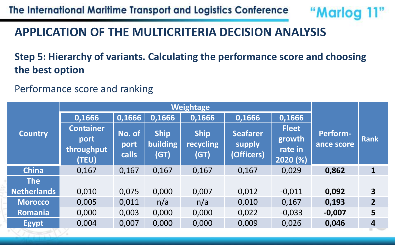The International Maritime Transport and Logistics Conference

"Marlog 11"

#### **APPLICATION OF THE MULTICRITERIA DECISION ANALYSIS**

#### **Step 5: Hierarchy of variants. Calculating the performance score and choosing the best option**

Performance score and ranking

|                    | Weightage                                       |                                               |                                        |                                         |                                         |                                               |                               |                         |
|--------------------|-------------------------------------------------|-----------------------------------------------|----------------------------------------|-----------------------------------------|-----------------------------------------|-----------------------------------------------|-------------------------------|-------------------------|
|                    | 0,1666                                          | 0,1666                                        | 0,1666                                 | 0,1666                                  | 0,1666                                  | 0,1666                                        |                               |                         |
| <b>Country</b>     | <b>Container</b><br>port<br>throughput<br>(TEU) | $\overline{\mathsf{No. of}}$<br>port<br>calls | <b>Ship</b><br><b>building</b><br>(GT) | <b>Ship</b><br><b>recycling</b><br>(GT) | <b>Seafarer</b><br>supply<br>(Officers) | <b>Fleet</b><br>growth<br>rate in<br>2020 (%) | <b>Perform-</b><br>ance score | <b>Rank</b>             |
| <b>China</b>       | 0,167                                           | 0,167                                         | 0,167                                  | 0,167                                   | 0,167                                   | 0,029                                         | 0,862                         | $\mathbf{1}$            |
| <b>The</b>         |                                                 |                                               |                                        |                                         |                                         |                                               |                               |                         |
| <b>Netherlands</b> | 0,010                                           | 0,075                                         | 0,000                                  | 0,007                                   | 0,012                                   | $-0,011$                                      | 0,092                         | $\overline{\mathbf{3}}$ |
| <b>Morocco</b>     | 0,005                                           | 0,011                                         | n/a                                    | n/a                                     | 0,010                                   | 0,167                                         | 0,193                         | $\overline{2}$          |
| Romania            | 0,000                                           | 0,003                                         | 0,000                                  | 0,000                                   | 0,022                                   | $-0,033$                                      | $-0,007$                      | $5\phantom{.}$          |
| <b>Egypt</b>       | 0,004                                           | 0,007                                         | 0,000                                  | 0,000                                   | 0,009                                   | 0,026                                         | 0,046                         | $\overline{4}$          |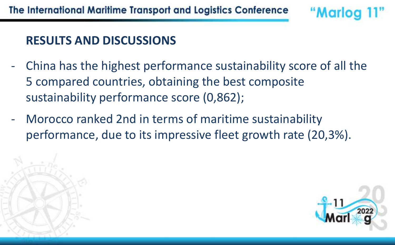### **RESULTS AND DISCUSSIONS**

- China has the highest performance sustainability score of all the 5 compared countries, obtaining the best composite sustainability performance score (0,862);
- Morocco ranked 2nd in terms of maritime sustainability performance, due to its impressive fleet growth rate (20,3%).



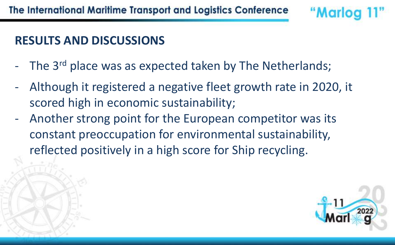#### **RESULTS AND DISCUSSIONS**

- The 3<sup>rd</sup> place was as expected taken by The Netherlands;
- Although it registered a negative fleet growth rate in 2020, it scored high in economic sustainability;
- Another strong point for the European competitor was its constant preoccupation for environmental sustainability, reflected positively in a high score for Ship recycling.



"Marloc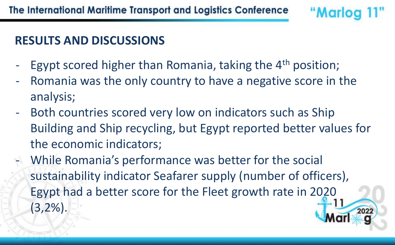## **RESULTS AND DISCUSSIONS**

- Egypt scored higher than Romania, taking the 4<sup>th</sup> position;
- Romania was the only country to have a negative score in the analysis;

- Both countries scored very low on indicators such as Ship Building and Ship recycling, but Egypt reported better values for the economic indicators;
- While Romania's performance was better for the social sustainability indicator Seafarer supply (number of officers), Egypt had a better score for the Fleet growth rate in 2020 (3,2%).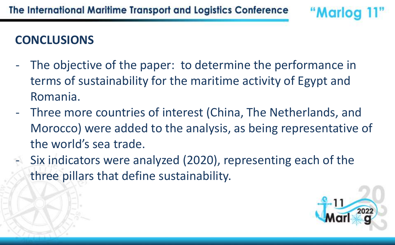# **CONCLUSIONS**

- The objective of the paper: to determine the performance in terms of sustainability for the maritime activity of Egypt and Romania.
- Three more countries of interest (China, The Netherlands, and Morocco) were added to the analysis, as being representative of the world's sea trade.
- Six indicators were analyzed (2020), representing each of the three pillars that define sustainability.

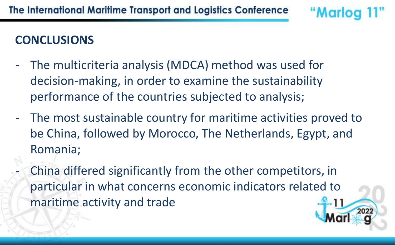# **CONCLUSIONS**

- The multicriteria analysis (MDCA) method was used for decision-making, in order to examine the sustainability performance of the countries subjected to analysis;
- The most sustainable country for maritime activities proved to be China, followed by Morocco, The Netherlands, Egypt, and Romania;

"Marlo

China differed significantly from the other competitors, in particular in what concerns economic indicators related to maritime activity and trade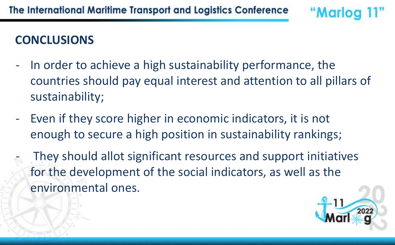# **CONCLUSIONS**

In order to achieve a high sustainability performance, the countries should pay equal interest and attention to all pillars of sustainability;

"Marloc

- Even if they score higher in economic indicators, it is not enough to secure a high position in sustainability rankings;
	- They should allot significant resources and support initiatives for the development of the social indicators, as well as the environmental ones.